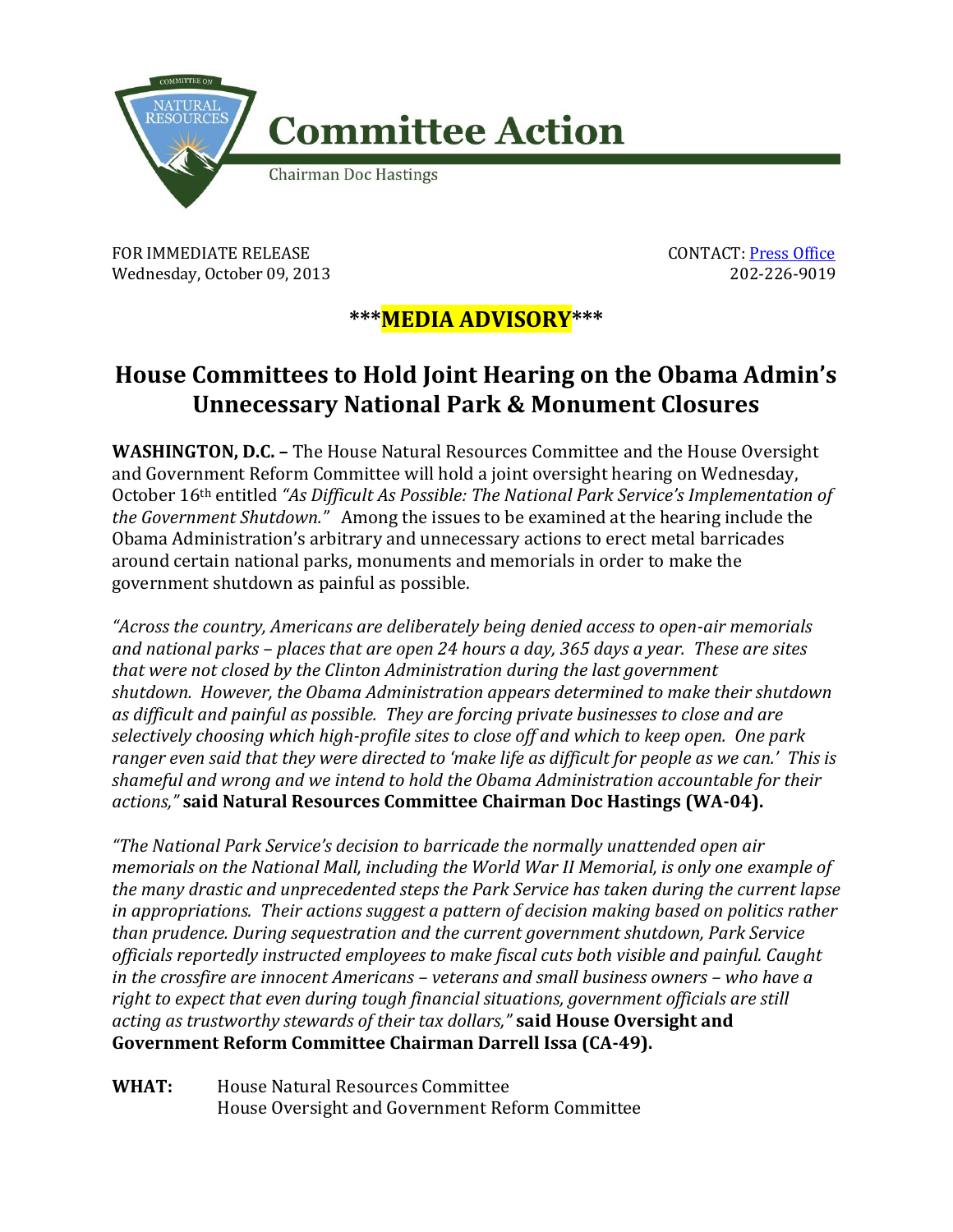

FOR IMMEDIATE RELEASE CONTACT: [Press Office](http://naturalresources.house.gov/contact/media.htm) Wednesday, October 09, 2013 202-226-9019

## **\*\*\*MEDIA ADVISORY\*\*\***

## **House Committees to Hold Joint Hearing on the Obama Admin's Unnecessary National Park & Monument Closures**

**WASHINGTON, D.C. –** The House Natural Resources Committee and the House Oversight and Government Reform Committee will hold a joint oversight hearing on Wednesday, October 16th entitled *"As Difficult As Possible: The National Park Service's Implementation of the Government Shutdown."* Among the issues to be examined at the hearing include the Obama Administration's arbitrary and unnecessary actions to erect metal barricades around certain national parks, monuments and memorials in order to make the government shutdown as painful as possible.

*"Across the country, Americans are deliberately being denied access to open-air memorials and national parks – places that are open 24 hours a day, 365 days a year. These are sites that were not closed by the Clinton Administration during the last government shutdown. However, the Obama Administration appears determined to make their shutdown as difficult and painful as possible. They are forcing private businesses to close and are selectively choosing which high-profile sites to close off and which to keep open. One park ranger even said that they were directed to 'make life as difficult for people as we can.' This is shameful and wrong and we intend to hold the Obama Administration accountable for their actions,"* **said Natural Resources Committee Chairman Doc Hastings (WA-04).** 

*"The National Park Service's decision to barricade the normally unattended open air memorials on the National Mall, including the World War II Memorial, is only one example of the many drastic and unprecedented steps the Park Service has taken during the current lapse in appropriations. Their actions suggest a pattern of decision making based on politics rather than prudence. During sequestration and the current government shutdown, Park Service officials reportedly instructed employees to make fiscal cuts both visible and painful. Caught in the crossfire are innocent Americans – veterans and small business owners – who have a right to expect that even during tough financial situations, government officials are still acting as trustworthy stewards of their tax dollars,"* **said House Oversight and Government Reform Committee Chairman Darrell Issa (CA-49).**

**WHAT:** House Natural Resources Committee House Oversight and Government Reform Committee